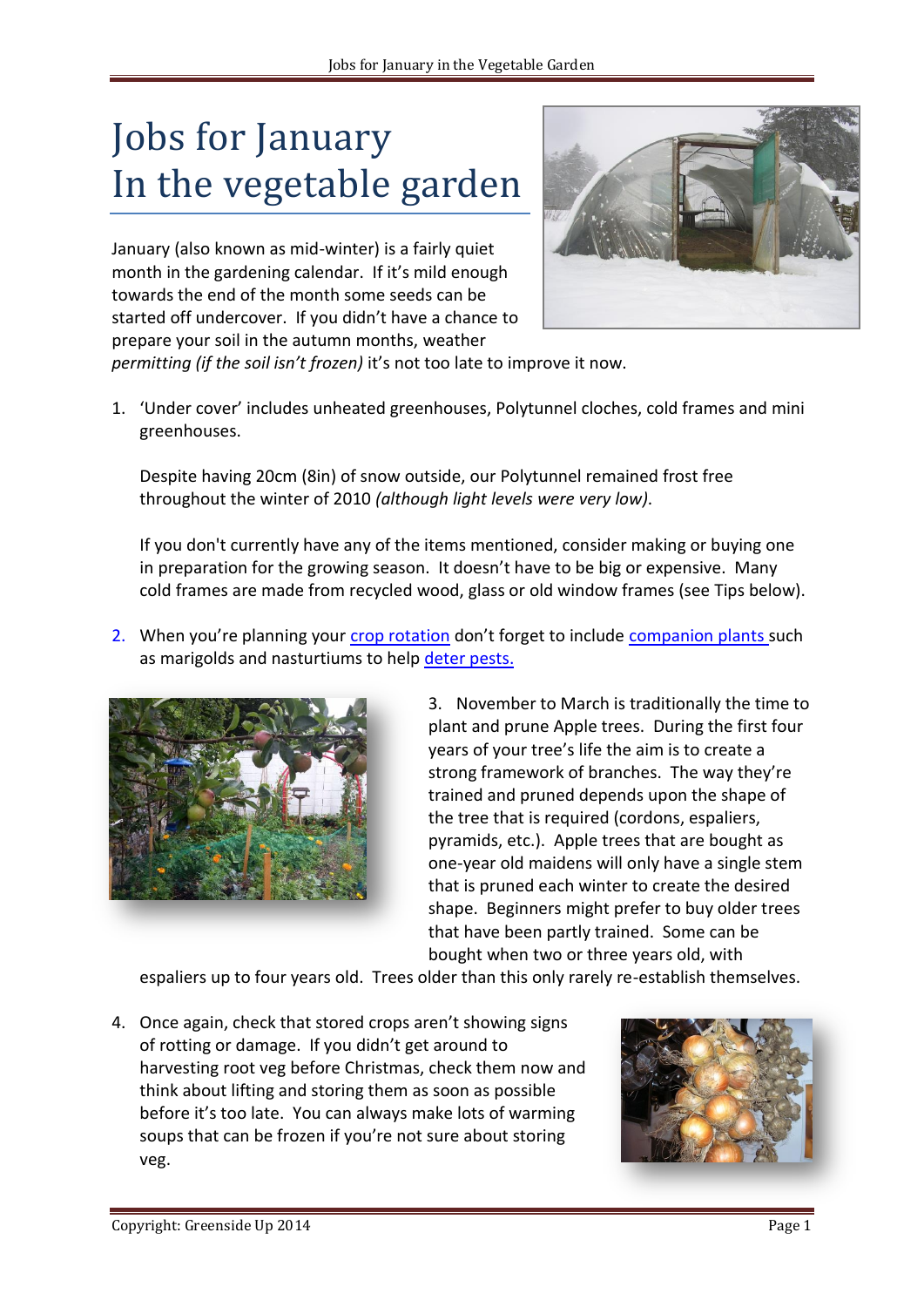## Jobs for January In the vegetable garden

January (also known as mid-winter) is a fairly quiet month in the gardening calendar. If it's mild enough towards the end of the month some seeds can be started off undercover. If you didn't have a chance to prepare your soil in the autumn months, weather



*permitting (if the soil isn't frozen)* it's not too late to improve it now.

1. 'Under cover' includes unheated greenhouses, Polytunnel cloches, cold frames and mini greenhouses.

Despite having 20cm (8in) of snow outside, our Polytunnel remained frost free throughout the winter of 2010 *(although light levels were very low)*.

If you don't currently have any of the items mentioned, consider making or buying one in preparation for the growing season. It doesn't have to be big or expensive. Many cold frames are made from recycled wood, glass or old window frames (see Tips below).

2. When you're planning your [crop rotation](http://greensideup.ie/media/Crop-Rotation-2013.pdf) don't forget to include [companion plants s](http://greensideup.ie/media/Companion-Planting.pdf)uch as marigolds and nasturtiums to help [deter pests.](http://greensideup.ie/category/general-gardening/pests-and-diseases-vegetables-and-garden/)



3. November to March is traditionally the time to plant and prune Apple trees. During the first four years of your tree's life the aim is to create a strong framework of branches. The way they're trained and pruned depends upon the shape of the tree that is required (cordons, espaliers, pyramids, etc.). Apple trees that are bought as one-year old maidens will only have a single stem that is pruned each winter to create the desired shape. Beginners might prefer to buy older trees that have been partly trained. Some can be bought when two or three years old, with

espaliers up to four years old. Trees older than this only rarely re-establish themselves.

4. Once again, check that stored crops aren't showing signs of rotting or damage. If you didn't get around to harvesting root veg before Christmas, check them now and think about lifting and storing them as soon as possible before it's too late. You can always make lots of warming soups that can be frozen if you're not sure about storing veg.

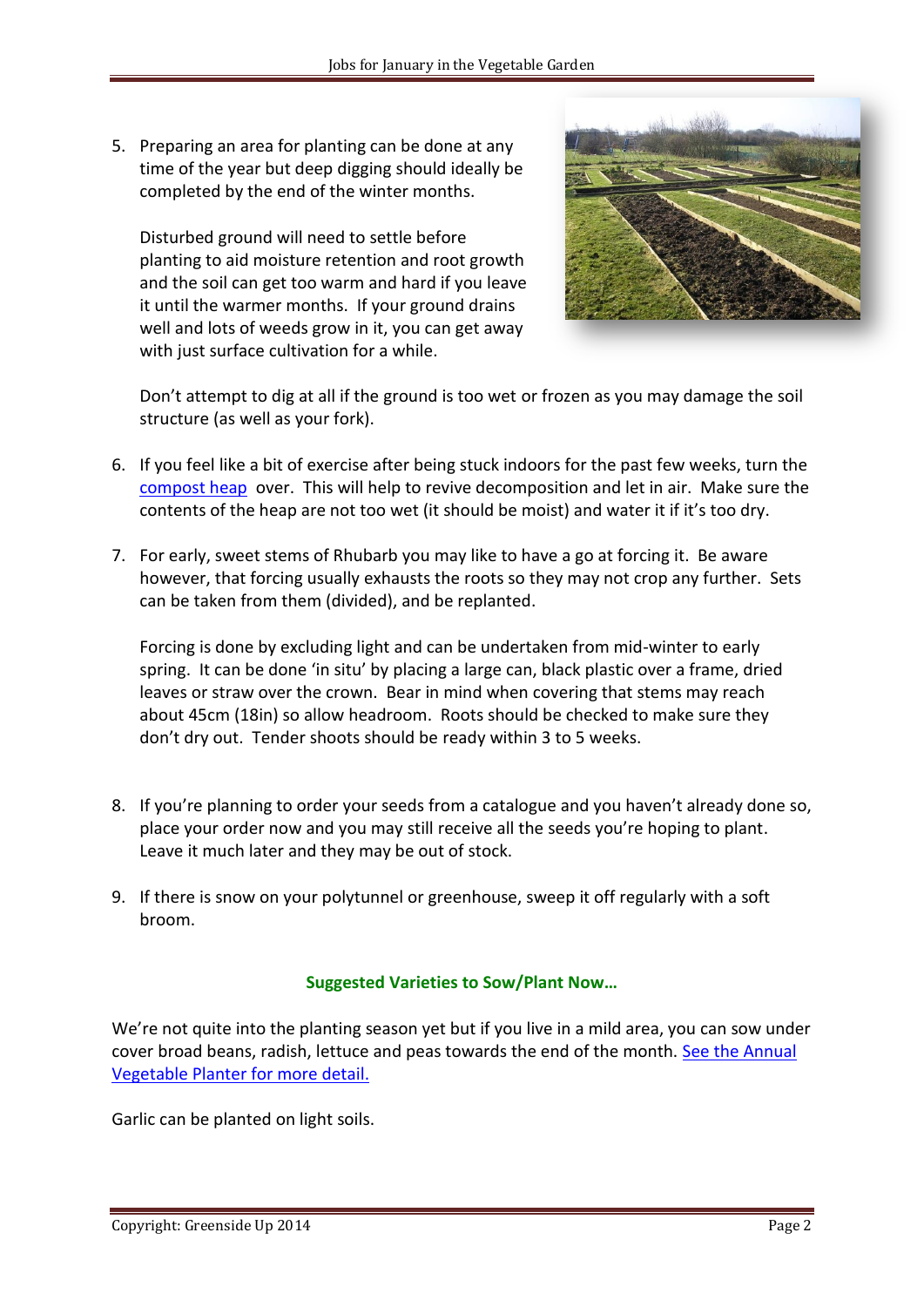5. Preparing an area for planting can be done at any time of the year but deep digging should ideally be completed by the end of the winter months.

Disturbed ground will need to settle before planting to aid moisture retention and root growth and the soil can get too warm and hard if you leave it until the warmer months. If your ground drains well and lots of weeds grow in it, you can get away with just surface cultivation for a while.



Don't attempt to dig at all if the ground is too wet or frozen as you may damage the soil structure (as well as your fork).

- 6. If you feel like a bit of exercise after being stuck indoors for the past few weeks, turn the [compost heap](http://greensideup.ie/media/Composting-2013.pdf) over. This will help to revive decomposition and let in air. Make sure the contents of the heap are not too wet (it should be moist) and water it if it's too dry.
- 7. For early, sweet stems of Rhubarb you may like to have a go at forcing it. Be aware however, that forcing usually exhausts the roots so they may not crop any further. Sets can be taken from them (divided), and be replanted.

Forcing is done by excluding light and can be undertaken from mid-winter to early spring. It can be done 'in situ' by placing a large can, black plastic over a frame, dried leaves or straw over the crown. Bear in mind when covering that stems may reach about 45cm (18in) so allow headroom. Roots should be checked to make sure they don't dry out. Tender shoots should be ready within 3 to 5 weeks.

- 8. If you're planning to order your seeds from a catalogue and you haven't already done so, place your order now and you may still receive all the seeds you're hoping to plant. Leave it much later and they may be out of stock.
- 9. If there is snow on your polytunnel or greenhouse, sweep it off regularly with a soft broom.

## **Suggested Varieties to Sow/Plant Now…**

We're not quite into the planting season yet but if you live in a mild area, you can sow under cover broad beans, radish, lettuce and peas towards the end of the month. [See the Annual](http://greensideup.ie/media/Annual-Vegetable-Planner-2014.pdf)  [Vegetable Planter for more detail.](http://greensideup.ie/media/Annual-Vegetable-Planner-2014.pdf)

Garlic can be planted on light soils.